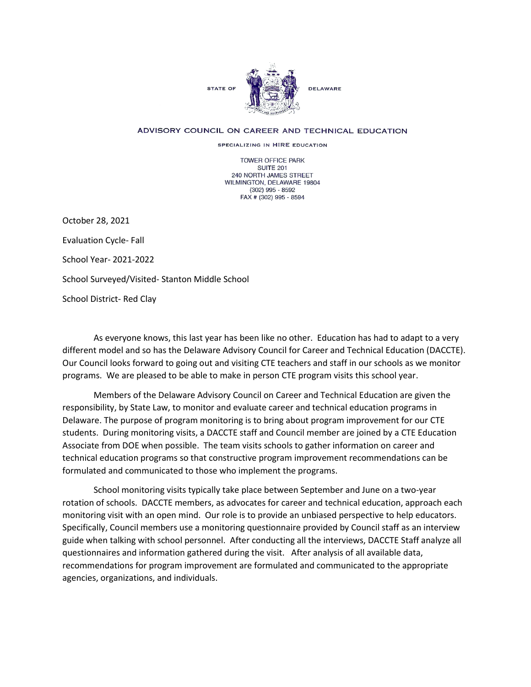

## ADVISORY COUNCIL ON CAREER AND TECHNICAL EDUCATION

SPECIALIZING IN HIRE EDUCATION

TOWER OFFICE PARK SUITE 201 240 NORTH JAMES STREET WILMINGTON, DELAWARE 19804 (302) 995 - 8592 FAX # (302) 995 - 8594

October 28, 2021 Evaluation Cycle- Fall School Year- 2021-2022 School Surveyed/Visited- Stanton Middle School School District- Red Clay

As everyone knows, this last year has been like no other. Education has had to adapt to a very different model and so has the Delaware Advisory Council for Career and Technical Education (DACCTE). Our Council looks forward to going out and visiting CTE teachers and staff in our schools as we monitor programs. We are pleased to be able to make in person CTE program visits this school year.

Members of the Delaware Advisory Council on Career and Technical Education are given the responsibility, by State Law, to monitor and evaluate career and technical education programs in Delaware. The purpose of program monitoring is to bring about program improvement for our CTE students. During monitoring visits, a DACCTE staff and Council member are joined by a CTE Education Associate from DOE when possible. The team visits schools to gather information on career and technical education programs so that constructive program improvement recommendations can be formulated and communicated to those who implement the programs.

School monitoring visits typically take place between September and June on a two-year rotation of schools. DACCTE members, as advocates for career and technical education, approach each monitoring visit with an open mind. Our role is to provide an unbiased perspective to help educators. Specifically, Council members use a monitoring questionnaire provided by Council staff as an interview guide when talking with school personnel. After conducting all the interviews, DACCTE Staff analyze all questionnaires and information gathered during the visit. After analysis of all available data, recommendations for program improvement are formulated and communicated to the appropriate agencies, organizations, and individuals.